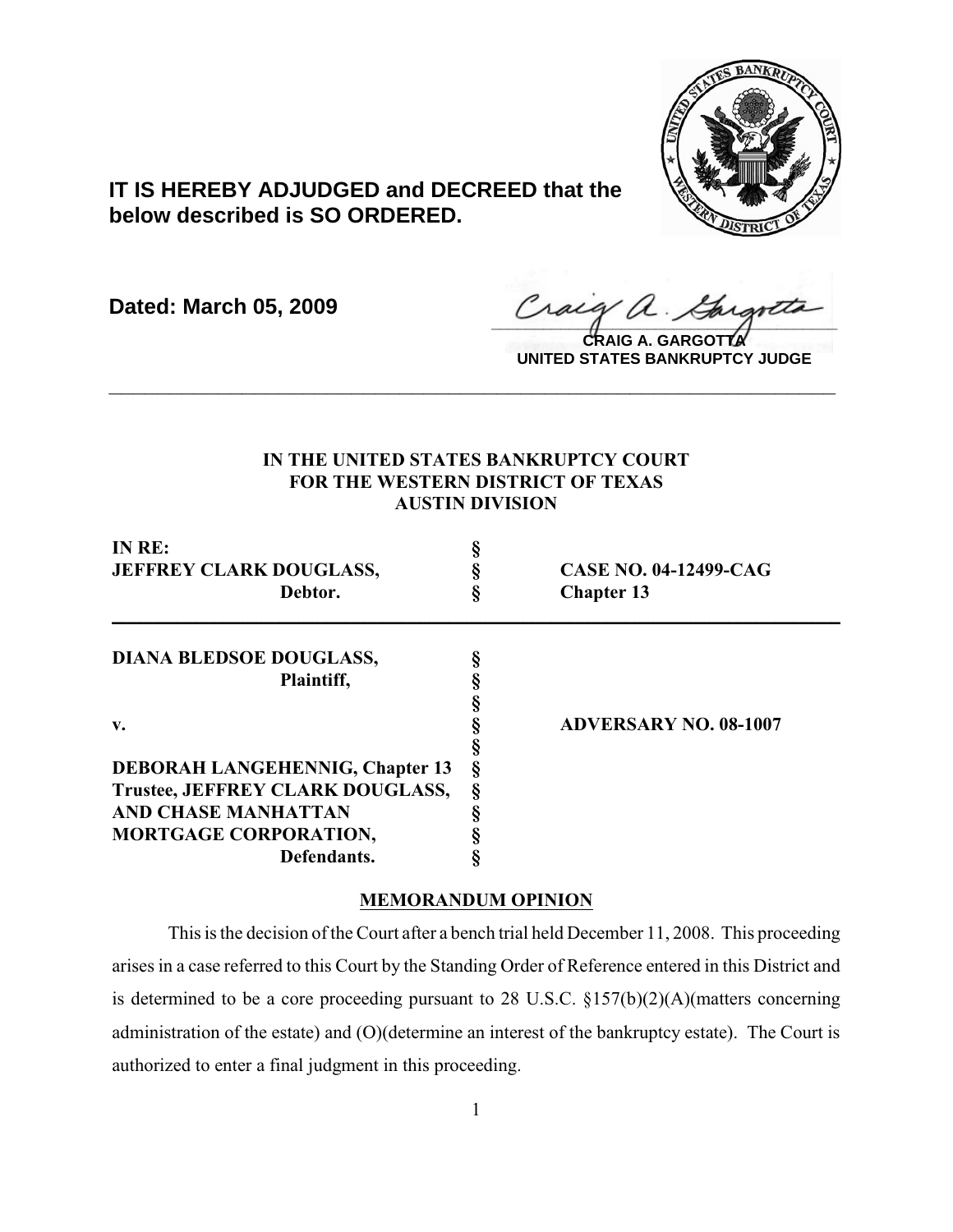

# **IT IS HEREBY ADJUDGED and DECREED that the below described is SO ORDERED.**

**Dated: March 05, 2009**

Craeg a. Cargotta

**CRAIG A. GARGOTTA UNITED STATES BANKRUPTCY JUDGE**

## **IN THE UNITED STATES BANKRUPTCY COURT FOR THE WESTERN DISTRICT OF TEXAS AUSTIN DIVISION**

**\_\_\_\_\_\_\_\_\_\_\_\_\_\_\_\_\_\_\_\_\_\_\_\_\_\_\_\_\_\_\_\_\_\_\_\_\_\_\_\_\_\_\_\_\_\_\_\_\_\_\_\_\_\_\_\_\_\_\_\_**

| IN RE:<br><b>JEFFREY CLARK DOUGLASS,</b><br>Debtor. |  | <b>CASE NO. 04-12499-CAG</b><br><b>Chapter 13</b> |
|-----------------------------------------------------|--|---------------------------------------------------|
|                                                     |  |                                                   |
|                                                     |  |                                                   |
| Plaintiff,                                          |  |                                                   |
|                                                     |  |                                                   |
| v.                                                  |  | <b>ADVERSARY NO. 08-1007</b>                      |
|                                                     |  |                                                   |
| <b>DEBORAH LANGEHENNIG, Chapter 13</b>              |  |                                                   |
| Trustee, JEFFREY CLARK DOUGLASS,                    |  |                                                   |
| <b>AND CHASE MANHATTAN</b>                          |  |                                                   |
| <b>MORTGAGE CORPORATION,</b>                        |  |                                                   |
| Defendants.                                         |  |                                                   |

### **MEMORANDUM OPINION**

This is the decision of the Court after a bench trial held December 11, 2008. This proceeding arises in a case referred to this Court by the Standing Order of Reference entered in this District and is determined to be a core proceeding pursuant to 28 U.S.C. §157(b)(2)(A)(matters concerning administration of the estate) and (O)(determine an interest of the bankruptcy estate). The Court is authorized to enter a final judgment in this proceeding.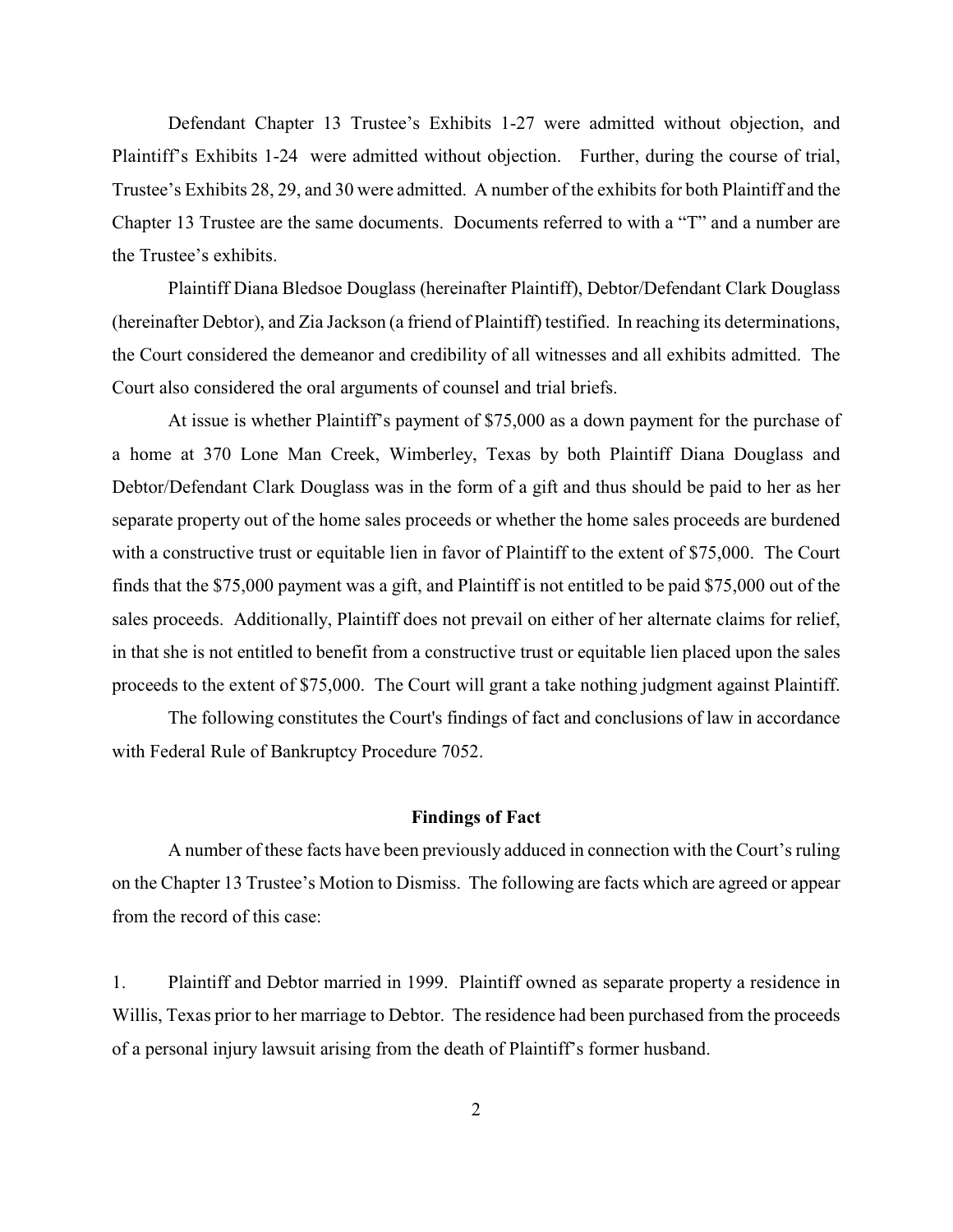Defendant Chapter 13 Trustee's Exhibits 1-27 were admitted without objection, and Plaintiff's Exhibits 1-24 were admitted without objection. Further, during the course of trial, Trustee's Exhibits 28, 29, and 30 were admitted. A number of the exhibits for both Plaintiff and the Chapter 13 Trustee are the same documents. Documents referred to with a "T" and a number are the Trustee's exhibits.

Plaintiff Diana Bledsoe Douglass (hereinafter Plaintiff), Debtor/Defendant Clark Douglass (hereinafter Debtor), and Zia Jackson (a friend of Plaintiff) testified. In reaching its determinations, the Court considered the demeanor and credibility of all witnesses and all exhibits admitted. The Court also considered the oral arguments of counsel and trial briefs.

At issue is whether Plaintiff's payment of \$75,000 as a down payment for the purchase of a home at 370 Lone Man Creek, Wimberley, Texas by both Plaintiff Diana Douglass and Debtor/Defendant Clark Douglass was in the form of a gift and thus should be paid to her as her separate property out of the home sales proceeds or whether the home sales proceeds are burdened with a constructive trust or equitable lien in favor of Plaintiff to the extent of \$75,000. The Court finds that the \$75,000 payment was a gift, and Plaintiff is not entitled to be paid \$75,000 out of the sales proceeds. Additionally, Plaintiff does not prevail on either of her alternate claims for relief, in that she is not entitled to benefit from a constructive trust or equitable lien placed upon the sales proceeds to the extent of \$75,000. The Court will grant a take nothing judgment against Plaintiff.

The following constitutes the Court's findings of fact and conclusions of law in accordance with Federal Rule of Bankruptcy Procedure 7052.

#### **Findings of Fact**

A number of these facts have been previously adduced in connection with the Court's ruling on the Chapter 13 Trustee's Motion to Dismiss. The following are facts which are agreed or appear from the record of this case:

1. Plaintiff and Debtor married in 1999. Plaintiff owned as separate property a residence in Willis, Texas prior to her marriage to Debtor. The residence had been purchased from the proceeds of a personal injury lawsuit arising from the death of Plaintiff's former husband.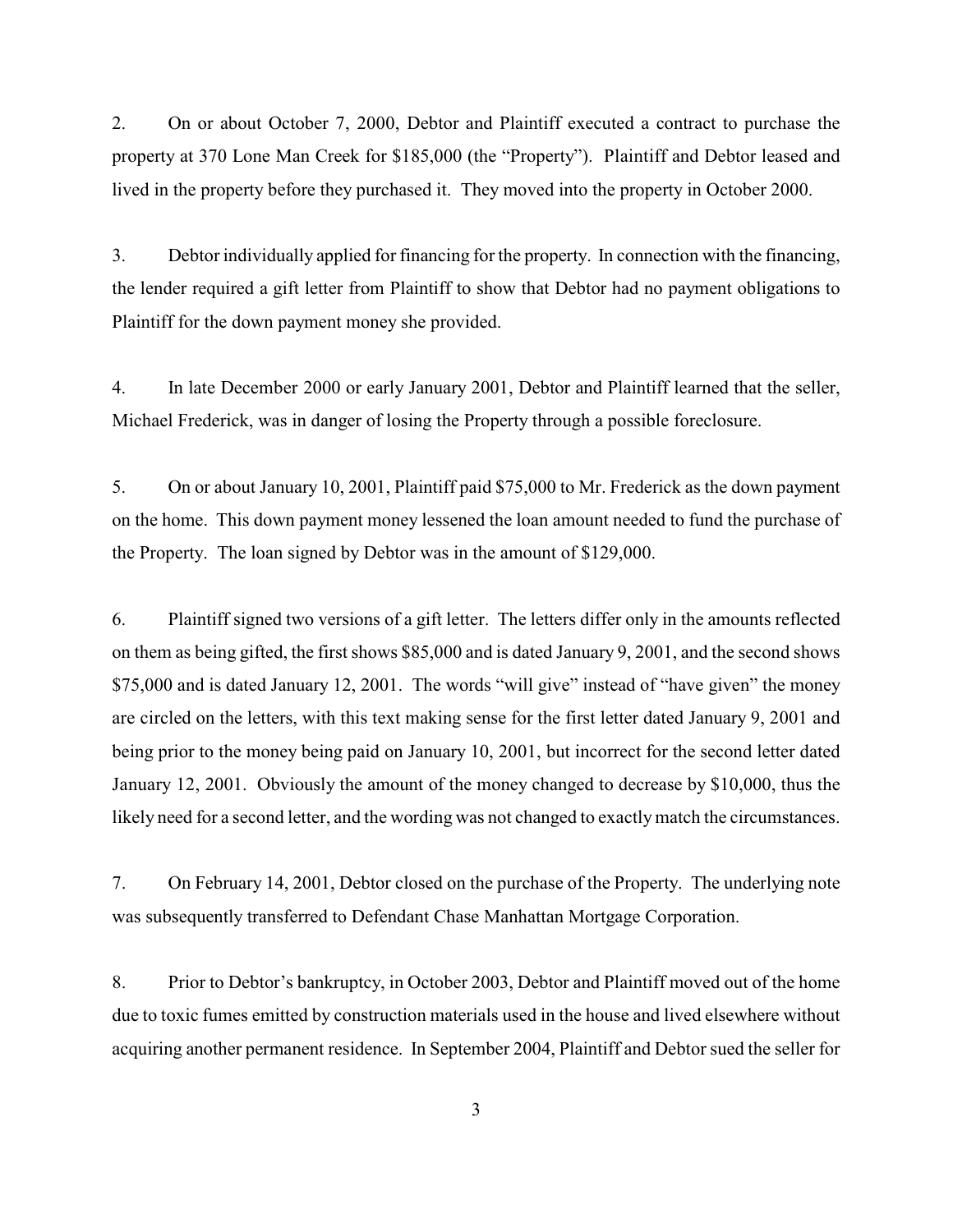2. On or about October 7, 2000, Debtor and Plaintiff executed a contract to purchase the property at 370 Lone Man Creek for \$185,000 (the "Property"). Plaintiff and Debtor leased and lived in the property before they purchased it. They moved into the property in October 2000.

3. Debtor individually applied for financing for the property. In connection with the financing, the lender required a gift letter from Plaintiff to show that Debtor had no payment obligations to Plaintiff for the down payment money she provided.

4. In late December 2000 or early January 2001, Debtor and Plaintiff learned that the seller, Michael Frederick, was in danger of losing the Property through a possible foreclosure.

5. On or about January 10, 2001, Plaintiff paid \$75,000 to Mr. Frederick as the down payment on the home. This down payment money lessened the loan amount needed to fund the purchase of the Property. The loan signed by Debtor was in the amount of \$129,000.

6. Plaintiff signed two versions of a gift letter. The letters differ only in the amounts reflected on them as being gifted, the first shows \$85,000 and is dated January 9, 2001, and the second shows \$75,000 and is dated January 12, 2001. The words "will give" instead of "have given" the money are circled on the letters, with this text making sense for the first letter dated January 9, 2001 and being prior to the money being paid on January 10, 2001, but incorrect for the second letter dated January 12, 2001. Obviously the amount of the money changed to decrease by \$10,000, thus the likely need for a second letter, and the wording was not changed to exactly match the circumstances.

7. On February 14, 2001, Debtor closed on the purchase of the Property. The underlying note was subsequently transferred to Defendant Chase Manhattan Mortgage Corporation.

8. Prior to Debtor's bankruptcy, in October 2003, Debtor and Plaintiff moved out of the home due to toxic fumes emitted by construction materials used in the house and lived elsewhere without acquiring another permanent residence. In September 2004, Plaintiff and Debtor sued the seller for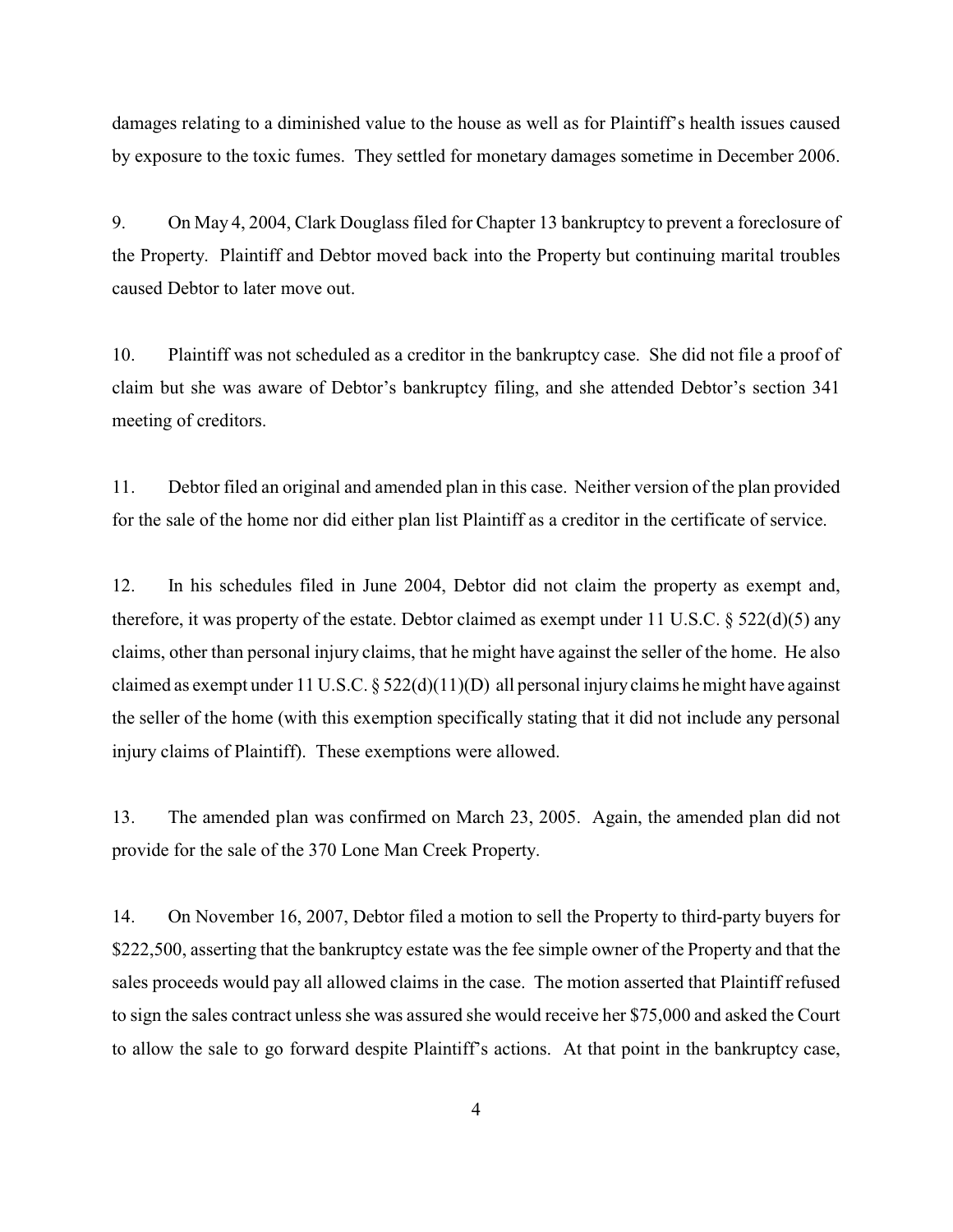damages relating to a diminished value to the house as well as for Plaintiff's health issues caused by exposure to the toxic fumes. They settled for monetary damages sometime in December 2006.

9. On May 4, 2004, Clark Douglass filed for Chapter 13 bankruptcy to prevent a foreclosure of the Property. Plaintiff and Debtor moved back into the Property but continuing marital troubles caused Debtor to later move out.

10. Plaintiff was not scheduled as a creditor in the bankruptcy case. She did not file a proof of claim but she was aware of Debtor's bankruptcy filing, and she attended Debtor's section 341 meeting of creditors.

11. Debtor filed an original and amended plan in this case. Neither version of the plan provided for the sale of the home nor did either plan list Plaintiff as a creditor in the certificate of service.

12. In his schedules filed in June 2004, Debtor did not claim the property as exempt and, therefore, it was property of the estate. Debtor claimed as exempt under 11 U.S.C.  $\S 522(d)(5)$  any claims, other than personal injury claims, that he might have against the seller of the home. He also claimed as exempt under 11 U.S.C. § 522(d)(11)(D) all personal injury claims he might have against the seller of the home (with this exemption specifically stating that it did not include any personal injury claims of Plaintiff). These exemptions were allowed.

13. The amended plan was confirmed on March 23, 2005. Again, the amended plan did not provide for the sale of the 370 Lone Man Creek Property.

14. On November 16, 2007, Debtor filed a motion to sell the Property to third-party buyers for \$222,500, asserting that the bankruptcy estate was the fee simple owner of the Property and that the sales proceeds would pay all allowed claims in the case. The motion asserted that Plaintiff refused to sign the sales contract unless she was assured she would receive her \$75,000 and asked the Court to allow the sale to go forward despite Plaintiff's actions. At that point in the bankruptcy case,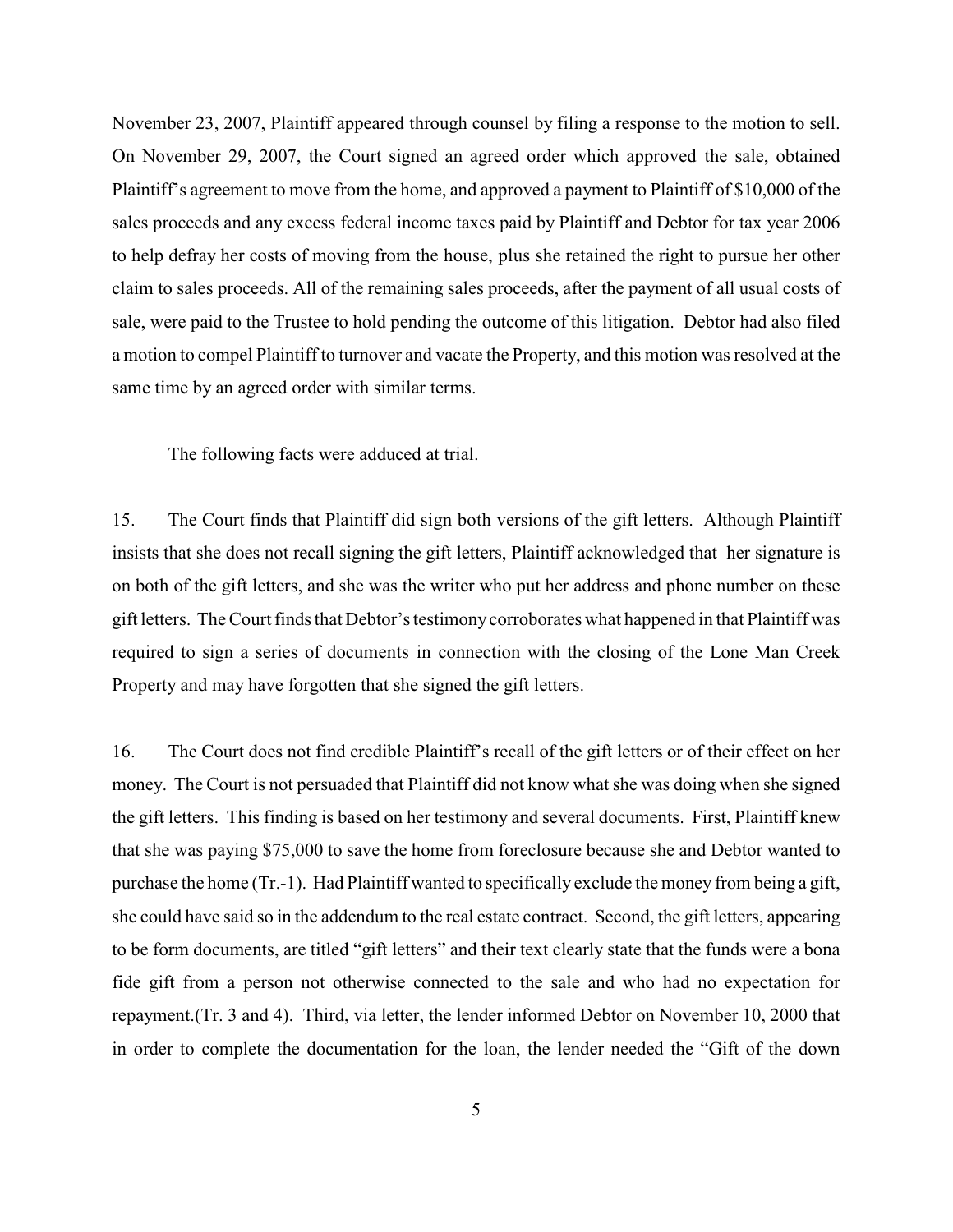November 23, 2007, Plaintiff appeared through counsel by filing a response to the motion to sell. On November 29, 2007, the Court signed an agreed order which approved the sale, obtained Plaintiff's agreement to move from the home, and approved a payment to Plaintiff of \$10,000 of the sales proceeds and any excess federal income taxes paid by Plaintiff and Debtor for tax year 2006 to help defray her costs of moving from the house, plus she retained the right to pursue her other claim to sales proceeds. All of the remaining sales proceeds, after the payment of all usual costs of sale, were paid to the Trustee to hold pending the outcome of this litigation. Debtor had also filed a motion to compel Plaintiff to turnover and vacate the Property, and this motion was resolved at the same time by an agreed order with similar terms.

The following facts were adduced at trial.

15. The Court finds that Plaintiff did sign both versions of the gift letters. Although Plaintiff insists that she does not recall signing the gift letters, Plaintiff acknowledged that her signature is on both of the gift letters, and she was the writer who put her address and phone number on these gift letters. The Court finds that Debtor's testimonycorroborates what happened in that Plaintiff was required to sign a series of documents in connection with the closing of the Lone Man Creek Property and may have forgotten that she signed the gift letters.

16. The Court does not find credible Plaintiff's recall of the gift letters or of their effect on her money. The Court is not persuaded that Plaintiff did not know what she was doing when she signed the gift letters. This finding is based on her testimony and several documents. First, Plaintiff knew that she was paying \$75,000 to save the home from foreclosure because she and Debtor wanted to purchase the home (Tr.-1). Had Plaintiff wanted to specifically exclude the money from being a gift, she could have said so in the addendum to the real estate contract. Second, the gift letters, appearing to be form documents, are titled "gift letters" and their text clearly state that the funds were a bona fide gift from a person not otherwise connected to the sale and who had no expectation for repayment.(Tr. 3 and 4). Third, via letter, the lender informed Debtor on November 10, 2000 that in order to complete the documentation for the loan, the lender needed the "Gift of the down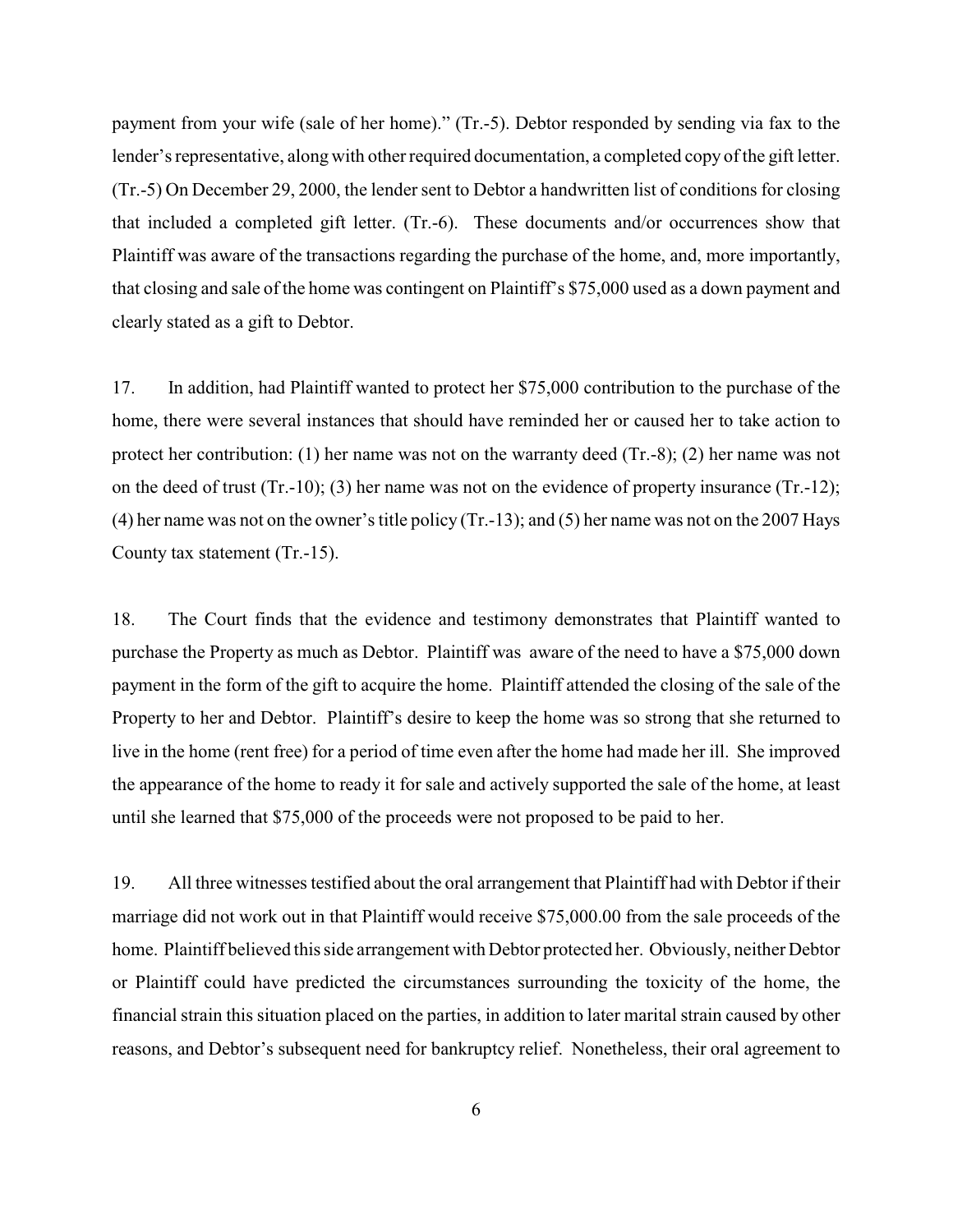payment from your wife (sale of her home)." (Tr.-5). Debtor responded by sending via fax to the lender's representative, along with other required documentation, a completed copy of the gift letter. (Tr.-5) On December 29, 2000, the lender sent to Debtor a handwritten list of conditions for closing that included a completed gift letter. (Tr.-6). These documents and/or occurrences show that Plaintiff was aware of the transactions regarding the purchase of the home, and, more importantly, that closing and sale of the home was contingent on Plaintiff's \$75,000 used as a down payment and clearly stated as a gift to Debtor.

17. In addition, had Plaintiff wanted to protect her \$75,000 contribution to the purchase of the home, there were several instances that should have reminded her or caused her to take action to protect her contribution: (1) her name was not on the warranty deed (Tr.-8); (2) her name was not on the deed of trust (Tr.-10); (3) her name was not on the evidence of property insurance (Tr.-12); (4) her name was not on the owner'stitle policy (Tr.-13); and (5) her name was not on the 2007 Hays County tax statement (Tr.-15).

18. The Court finds that the evidence and testimony demonstrates that Plaintiff wanted to purchase the Property as much as Debtor. Plaintiff was aware of the need to have a \$75,000 down payment in the form of the gift to acquire the home. Plaintiff attended the closing of the sale of the Property to her and Debtor. Plaintiff's desire to keep the home was so strong that she returned to live in the home (rent free) for a period of time even after the home had made her ill. She improved the appearance of the home to ready it for sale and actively supported the sale of the home, at least until she learned that \$75,000 of the proceeds were not proposed to be paid to her.

19. All three witnesses testified about the oral arrangement that Plaintiff had with Debtor if their marriage did not work out in that Plaintiff would receive \$75,000.00 from the sale proceeds of the home. Plaintiff believed this side arrangement with Debtor protected her. Obviously, neither Debtor or Plaintiff could have predicted the circumstances surrounding the toxicity of the home, the financial strain this situation placed on the parties, in addition to later marital strain caused by other reasons, and Debtor's subsequent need for bankruptcy relief. Nonetheless, their oral agreement to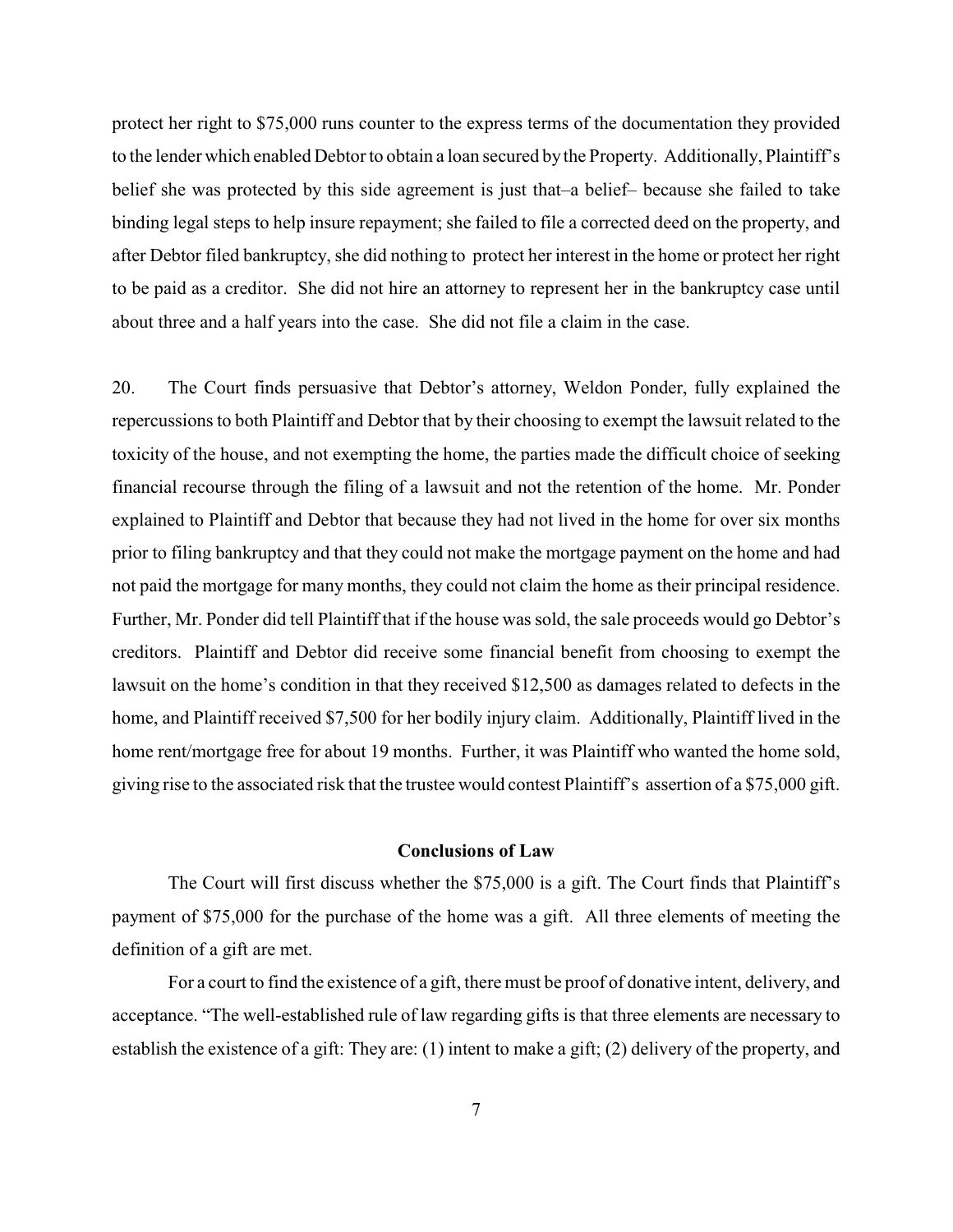protect her right to \$75,000 runs counter to the express terms of the documentation they provided to the lender which enabled Debtor to obtain a loan secured by the Property. Additionally, Plaintiff's belief she was protected by this side agreement is just that–a belief– because she failed to take binding legal steps to help insure repayment; she failed to file a corrected deed on the property, and after Debtor filed bankruptcy, she did nothing to protect her interest in the home or protect her right to be paid as a creditor. She did not hire an attorney to represent her in the bankruptcy case until about three and a half years into the case. She did not file a claim in the case.

20. The Court finds persuasive that Debtor's attorney, Weldon Ponder, fully explained the repercussions to both Plaintiff and Debtor that by their choosing to exempt the lawsuit related to the toxicity of the house, and not exempting the home, the parties made the difficult choice of seeking financial recourse through the filing of a lawsuit and not the retention of the home. Mr. Ponder explained to Plaintiff and Debtor that because they had not lived in the home for over six months prior to filing bankruptcy and that they could not make the mortgage payment on the home and had not paid the mortgage for many months, they could not claim the home as their principal residence. Further, Mr. Ponder did tell Plaintiff that if the house was sold, the sale proceeds would go Debtor's creditors. Plaintiff and Debtor did receive some financial benefit from choosing to exempt the lawsuit on the home's condition in that they received \$12,500 as damages related to defects in the home, and Plaintiff received \$7,500 for her bodily injury claim. Additionally, Plaintiff lived in the home rent/mortgage free for about 19 months. Further, it was Plaintiff who wanted the home sold, giving rise to the associated risk that the trustee would contest Plaintiff's assertion of a \$75,000 gift.

#### **Conclusions of Law**

The Court will first discuss whether the \$75,000 is a gift. The Court finds that Plaintiff's payment of \$75,000 for the purchase of the home was a gift. All three elements of meeting the definition of a gift are met.

For a court to find the existence of a gift, there must be proof of donative intent, delivery, and acceptance. "The well-established rule of law regarding gifts is that three elements are necessary to establish the existence of a gift: They are: (1) intent to make a gift; (2) delivery of the property, and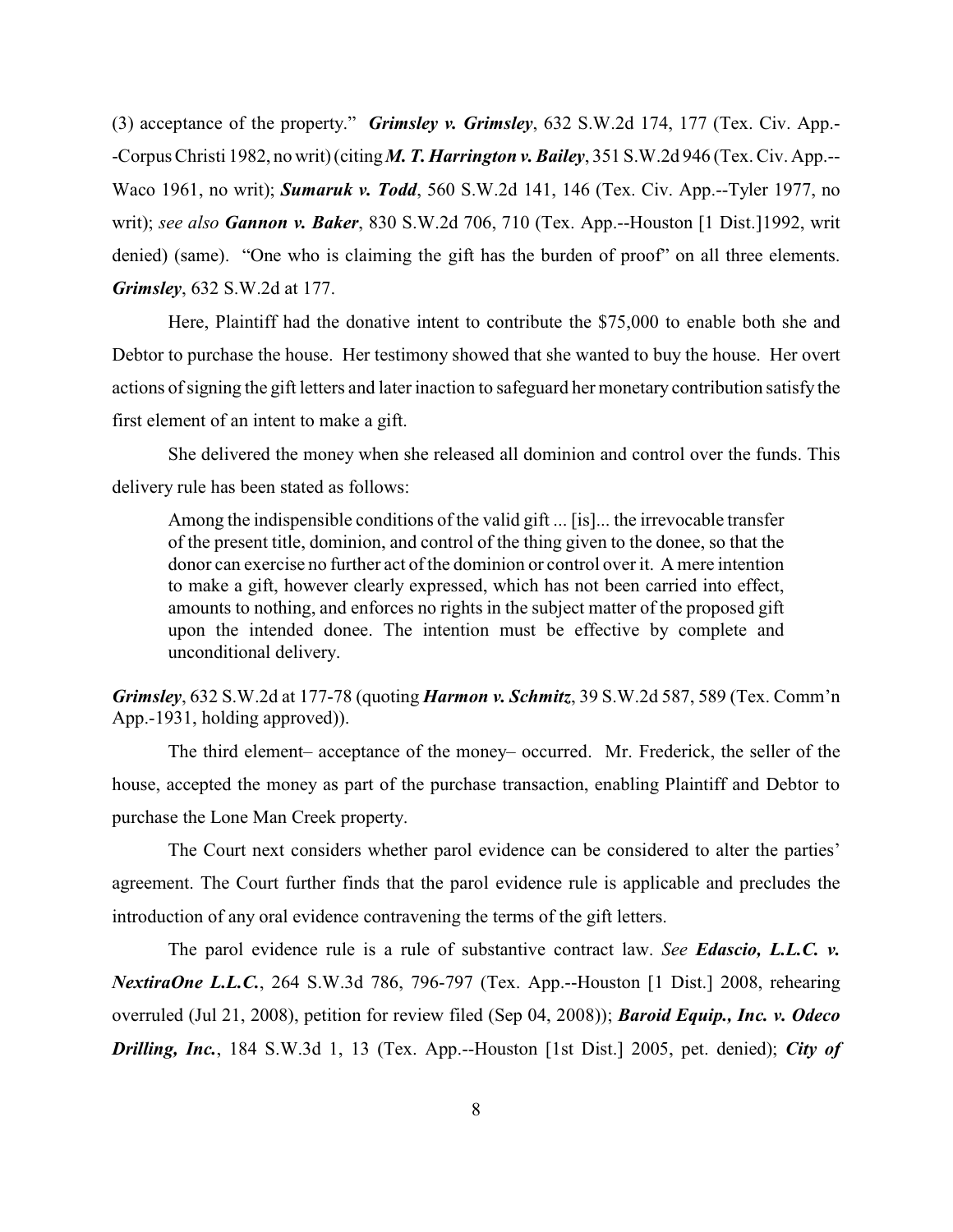(3) acceptance of the property." *Grimsley v. Grimsley*, 632 S.W.2d 174, 177 (Tex. Civ. App.- -Corpus Christi 1982, no writ) (citing *M. T. Harrington v. Bailey*, 351 S.W.2d 946 (Tex. Civ. App.-- Waco 1961, no writ); *Sumaruk v. Todd*, 560 S.W.2d 141, 146 (Tex. Civ. App.--Tyler 1977, no writ); *see also Gannon v. Baker*, 830 S.W.2d 706, 710 (Tex. App.--Houston [1 Dist.]1992, writ denied) (same). "One who is claiming the gift has the burden of proof" on all three elements. *Grimsley*, 632 S.W.2d at 177.

Here, Plaintiff had the donative intent to contribute the \$75,000 to enable both she and Debtor to purchase the house. Her testimony showed that she wanted to buy the house. Her overt actions of signing the gift letters and later inaction to safeguard her monetary contribution satisfy the first element of an intent to make a gift.

She delivered the money when she released all dominion and control over the funds. This delivery rule has been stated as follows:

Among the indispensible conditions of the valid gift ... [is]... the irrevocable transfer of the present title, dominion, and control of the thing given to the donee, so that the donor can exercise no further act of the dominion or control over it. A mere intention to make a gift, however clearly expressed, which has not been carried into effect, amounts to nothing, and enforces no rights in the subject matter of the proposed gift upon the intended donee. The intention must be effective by complete and unconditional delivery.

*Grimsley*, 632 S.W.2d at 177-78 (quoting *Harmon v. Schmitz*, 39 S.W.2d 587, 589 (Tex. Comm'n App.-1931, holding approved)).

The third element– acceptance of the money– occurred. Mr. Frederick, the seller of the house, accepted the money as part of the purchase transaction, enabling Plaintiff and Debtor to purchase the Lone Man Creek property.

The Court next considers whether parol evidence can be considered to alter the parties' agreement. The Court further finds that the parol evidence rule is applicable and precludes the introduction of any oral evidence contravening the terms of the gift letters.

The parol evidence rule is a rule of substantive contract law. *See Edascio, L.L.C. v. NextiraOne L.L.C.*, 264 S.W.3d 786, 796-797 (Tex. App.--Houston [1 Dist.] 2008, rehearing overruled (Jul 21, 2008), petition for review filed (Sep 04, 2008)); *Baroid Equip., Inc. v. Odeco Drilling, Inc.*, 184 S.W.3d 1, 13 (Tex. App.--Houston [1st Dist.] 2005, pet. denied); *City of*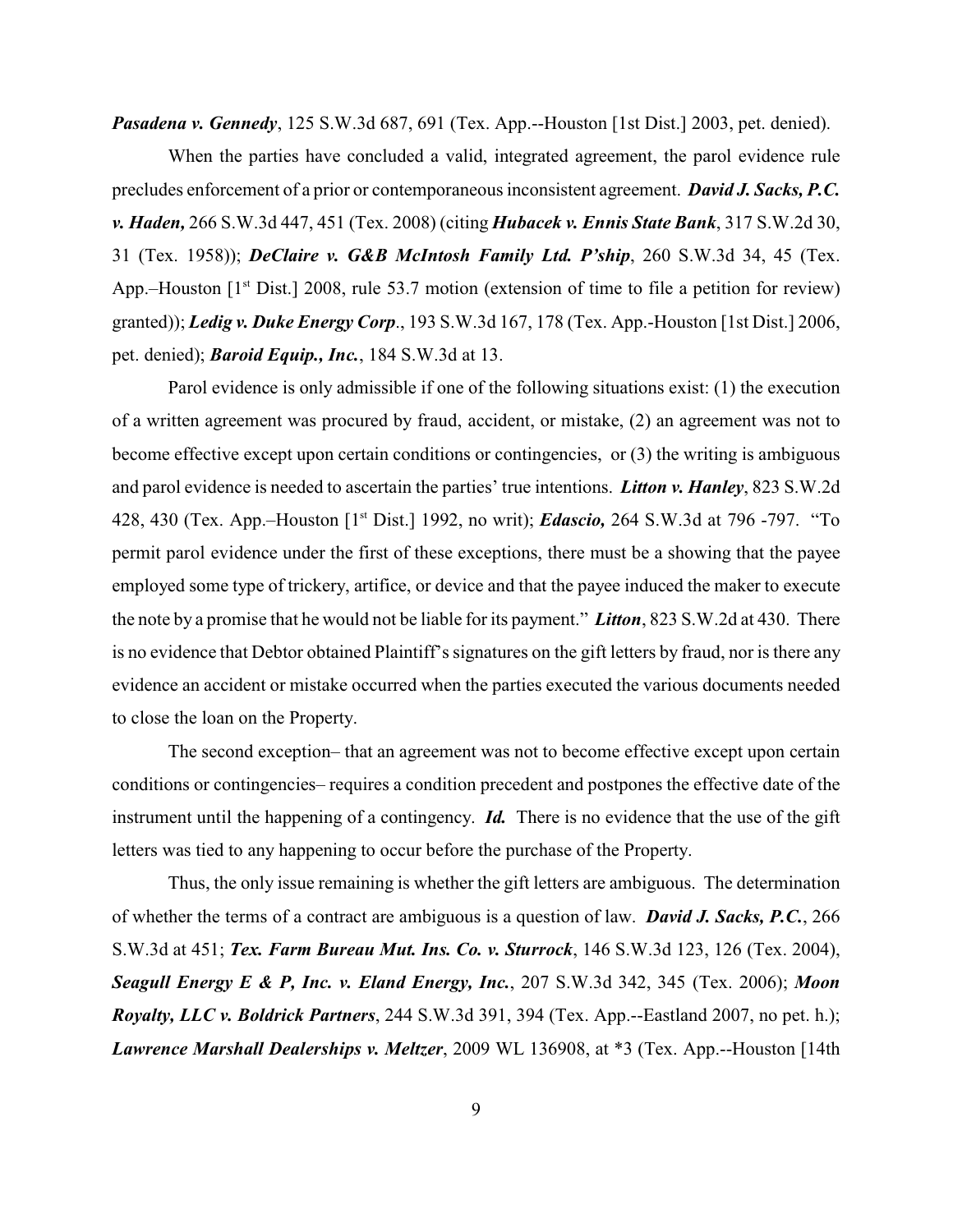*Pasadena v. Gennedy*, 125 S.W.3d 687, 691 (Tex. App.--Houston [1st Dist.] 2003, pet. denied).

When the parties have concluded a valid, integrated agreement, the parol evidence rule precludes enforcement of a prior or contemporaneous inconsistent agreement. *David J. Sacks, P.C. v. Haden,* 266 S.W.3d 447, 451 (Tex. 2008) (citing *Hubacek v. Ennis State Bank*, 317 S.W.2d 30, 31 (Tex. 1958)); *DeClaire v. G&B McIntosh Family Ltd. P'ship*, 260 S.W.3d 34, 45 (Tex. App.–Houston  $[1<sup>st</sup> Dist.]$  2008, rule 53.7 motion (extension of time to file a petition for review) granted)); *Ledig v. Duke Energy Corp*., 193 S.W.3d 167, 178 (Tex. App.-Houston [1st Dist.] 2006, pet. denied); *Baroid Equip., Inc.*, 184 S.W.3d at 13.

Parol evidence is only admissible if one of the following situations exist: (1) the execution of a written agreement was procured by fraud, accident, or mistake, (2) an agreement was not to become effective except upon certain conditions or contingencies, or (3) the writing is ambiguous and parol evidence is needed to ascertain the parties' true intentions. *Litton v. Hanley*, 823 S.W.2d 428, 430 (Tex. App.–Houston [1<sup>st</sup> Dist.] 1992, no writ); *Edascio*, 264 S.W.3d at 796 -797. "To permit parol evidence under the first of these exceptions, there must be a showing that the payee employed some type of trickery, artifice, or device and that the payee induced the maker to execute the note by a promise that he would not be liable for its payment." *Litton*, 823 S.W.2d at 430. There is no evidence that Debtor obtained Plaintiff's signatures on the gift letters by fraud, nor is there any evidence an accident or mistake occurred when the parties executed the various documents needed to close the loan on the Property.

The second exception– that an agreement was not to become effective except upon certain conditions or contingencies– requires a condition precedent and postpones the effective date of the instrument until the happening of a contingency. *Id.* There is no evidence that the use of the gift letters was tied to any happening to occur before the purchase of the Property.

Thus, the only issue remaining is whether the gift letters are ambiguous. The determination of whether the terms of a contract are ambiguous is a question of law. *David J. Sacks, P.C.*, 266 S.W.3d at 451; *Tex. Farm Bureau Mut. Ins. Co. v. Sturrock*, 146 S.W.3d 123, 126 (Tex. 2004), *Seagull Energy E & P, Inc. v. Eland Energy, Inc.*, 207 S.W.3d 342, 345 (Tex. 2006); *Moon Royalty, LLC v. Boldrick Partners*, 244 S.W.3d 391, 394 (Tex. App.--Eastland 2007, no pet. h.); *Lawrence Marshall Dealerships v. Meltzer*, 2009 WL 136908, at \*3 (Tex. App.--Houston [14th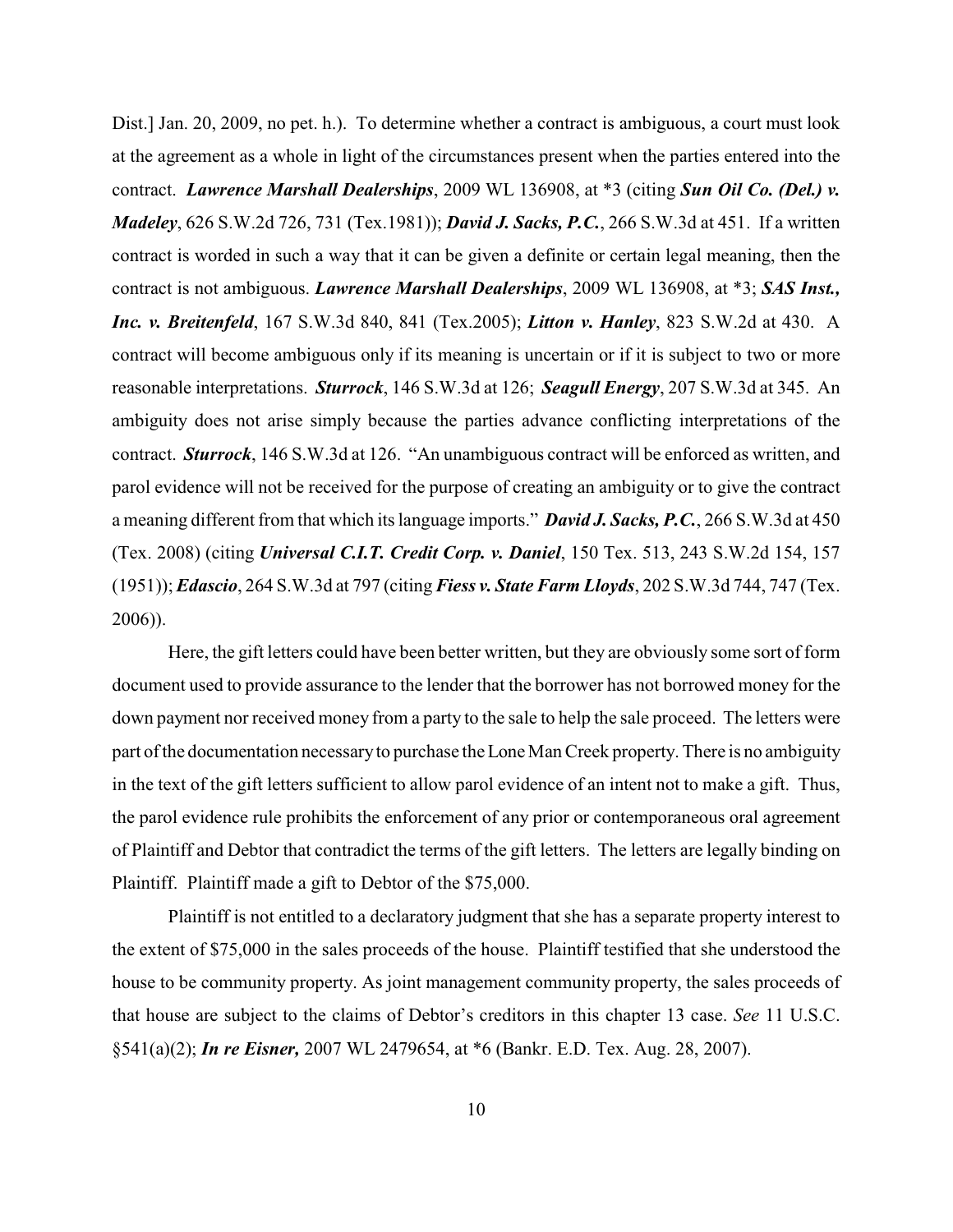Dist.] Jan. 20, 2009, no pet. h.). To determine whether a contract is ambiguous, a court must look at the agreement as a whole in light of the circumstances present when the parties entered into the contract. *Lawrence Marshall Dealerships*, 2009 WL 136908, at \*3 (citing *Sun Oil Co. (Del.) v. Madeley*, 626 S.W.2d 726, 731 (Tex.1981)); *David J. Sacks, P.C.*, 266 S.W.3d at 451. If a written contract is worded in such a way that it can be given a definite or certain legal meaning, then the contract is not ambiguous. *Lawrence Marshall Dealerships*, 2009 WL 136908, at \*3; *SAS Inst., Inc. v. Breitenfeld*, 167 S.W.3d 840, 841 (Tex.2005); *Litton v. Hanley*, 823 S.W.2d at 430. A contract will become ambiguous only if its meaning is uncertain or if it is subject to two or more reasonable interpretations. *Sturrock*, 146 S.W.3d at 126; *Seagull Energy*, 207 S.W.3d at 345. An ambiguity does not arise simply because the parties advance conflicting interpretations of the contract. *Sturrock*, 146 S.W.3d at 126. "An unambiguous contract will be enforced as written, and parol evidence will not be received for the purpose of creating an ambiguity or to give the contract a meaning different from that which its language imports." *David J. Sacks, P.C.*, 266 S.W.3d at 450 (Tex. 2008) (citing *Universal C.I.T. Credit Corp. v. Daniel*, 150 Tex. 513, 243 S.W.2d 154, 157 (1951));*Edascio*, 264 S.W.3d at 797 (citing *Fiess v. State Farm Lloyds*, 202 S.W.3d 744, 747 (Tex. 2006)).

Here, the gift letters could have been better written, but they are obviously some sort of form document used to provide assurance to the lender that the borrower has not borrowed money for the down payment nor received money from a party to the sale to help the sale proceed. The letters were part of the documentation necessary to purchase the Lone Man Creek property. There is no ambiguity in the text of the gift letters sufficient to allow parol evidence of an intent not to make a gift. Thus, the parol evidence rule prohibits the enforcement of any prior or contemporaneous oral agreement of Plaintiff and Debtor that contradict the terms of the gift letters. The letters are legally binding on Plaintiff. Plaintiff made a gift to Debtor of the \$75,000.

Plaintiff is not entitled to a declaratory judgment that she has a separate property interest to the extent of \$75,000 in the sales proceeds of the house. Plaintiff testified that she understood the house to be community property. As joint management community property, the sales proceeds of that house are subject to the claims of Debtor's creditors in this chapter 13 case. *See* 11 U.S.C. §541(a)(2); *In re Eisner,* 2007 WL 2479654, at \*6 (Bankr. E.D. Tex. Aug. 28, 2007).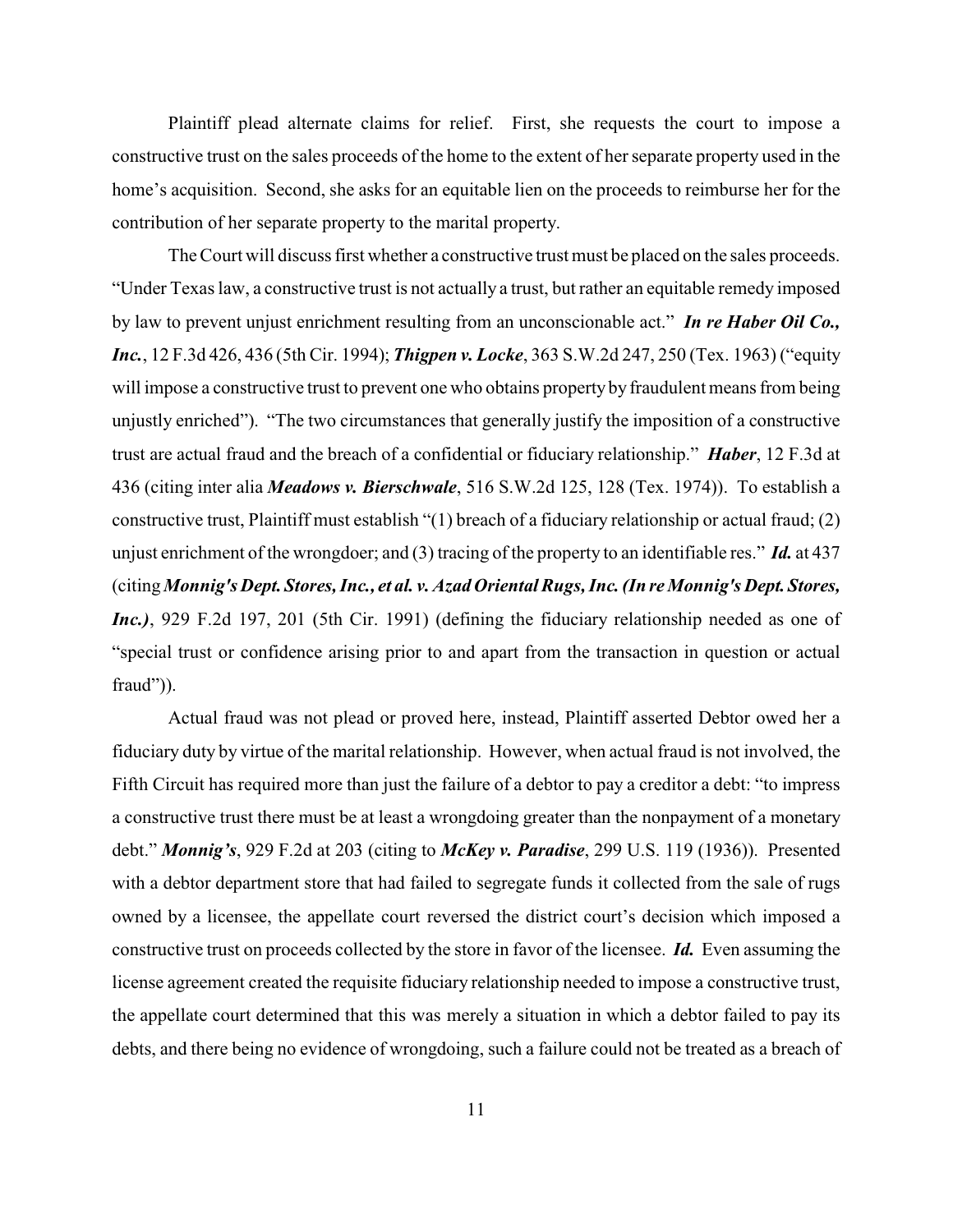Plaintiff plead alternate claims for relief. First, she requests the court to impose a constructive trust on the sales proceeds of the home to the extent of her separate property used in the home's acquisition. Second, she asks for an equitable lien on the proceeds to reimburse her for the contribution of her separate property to the marital property.

The Court will discuss first whether a constructive trust must be placed on the sales proceeds. "Under Texas law, a constructive trust is not actually a trust, but rather an equitable remedy imposed by law to prevent unjust enrichment resulting from an unconscionable act." *In re Haber Oil Co., Inc.*, 12 F.3d 426, 436 (5th Cir. 1994); *Thigpen v. Locke*, 363 S.W.2d 247, 250 (Tex. 1963) ("equity will impose a constructive trust to prevent one who obtains property by fraudulent means from being unjustly enriched"). "The two circumstances that generally justify the imposition of a constructive trust are actual fraud and the breach of a confidential or fiduciary relationship." *Haber*, 12 F.3d at 436 (citing inter alia *Meadows v. Bierschwale*, 516 S.W.2d 125, 128 (Tex. 1974)). To establish a constructive trust, Plaintiff must establish "(1) breach of a fiduciary relationship or actual fraud; (2) unjust enrichment of the wrongdoer; and (3) tracing of the property to an identifiable res." *Id.* at 437 (citing *Monnig's Dept. Stores,Inc., et al. v.Azad Oriental Rugs,Inc. (In re Monnig's Dept. Stores, Inc.)*, 929 F.2d 197, 201 (5th Cir. 1991) (defining the fiduciary relationship needed as one of "special trust or confidence arising prior to and apart from the transaction in question or actual fraud")).

Actual fraud was not plead or proved here, instead, Plaintiff asserted Debtor owed her a fiduciary duty by virtue of the marital relationship. However, when actual fraud is not involved, the Fifth Circuit has required more than just the failure of a debtor to pay a creditor a debt: "to impress a constructive trust there must be at least a wrongdoing greater than the nonpayment of a monetary debt." *Monnig's*, 929 F.2d at 203 (citing to *McKey v. Paradise*, 299 U.S. 119 (1936)). Presented with a debtor department store that had failed to segregate funds it collected from the sale of rugs owned by a licensee, the appellate court reversed the district court's decision which imposed a constructive trust on proceeds collected by the store in favor of the licensee. *Id.* Even assuming the license agreement created the requisite fiduciary relationship needed to impose a constructive trust, the appellate court determined that this was merely a situation in which a debtor failed to pay its debts, and there being no evidence of wrongdoing, such a failure could not be treated as a breach of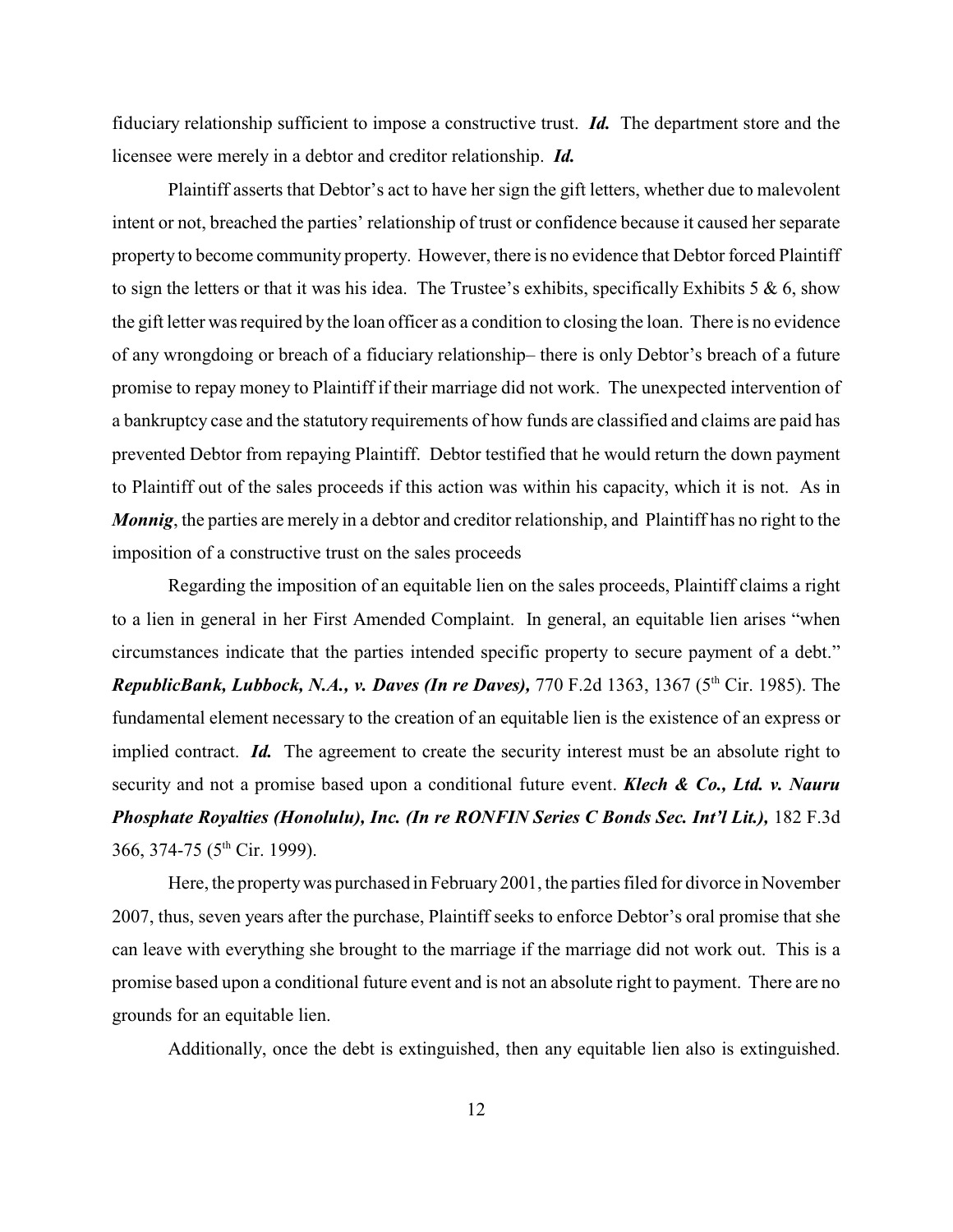fiduciary relationship sufficient to impose a constructive trust. *Id.* The department store and the licensee were merely in a debtor and creditor relationship. *Id.*

Plaintiff asserts that Debtor's act to have her sign the gift letters, whether due to malevolent intent or not, breached the parties' relationship of trust or confidence because it caused her separate property to become community property. However, there is no evidence that Debtor forced Plaintiff to sign the letters or that it was his idea. The Trustee's exhibits, specifically Exhibits  $5 \& 6$ , show the gift letter was required by the loan officer as a condition to closing the loan. There is no evidence of any wrongdoing or breach of a fiduciary relationship– there is only Debtor's breach of a future promise to repay money to Plaintiff if their marriage did not work. The unexpected intervention of a bankruptcy case and the statutory requirements of how funds are classified and claims are paid has prevented Debtor from repaying Plaintiff. Debtor testified that he would return the down payment to Plaintiff out of the sales proceeds if this action was within his capacity, which it is not. As in *Monnig*, the parties are merely in a debtor and creditor relationship, and Plaintiff has no right to the imposition of a constructive trust on the sales proceeds

Regarding the imposition of an equitable lien on the sales proceeds, Plaintiff claims a right to a lien in general in her First Amended Complaint. In general, an equitable lien arises "when circumstances indicate that the parties intended specific property to secure payment of a debt." *RepublicBank, Lubbock, N.A., v. Daves (In re Daves), 770 F.2d 1363, 1367 (5<sup>th</sup> Cir. 1985). The* fundamental element necessary to the creation of an equitable lien is the existence of an express or implied contract. *Id.* The agreement to create the security interest must be an absolute right to security and not a promise based upon a conditional future event. *Klech & Co., Ltd. v. Nauru Phosphate Royalties (Honolulu), Inc. (In re RONFIN Series C Bonds Sec. Int'l Lit.),* 182 F.3d 366, 374-75 ( $5<sup>th</sup>$  Cir. 1999).

Here, the property was purchased in February 2001, the parties filed for divorce in November 2007, thus, seven years after the purchase, Plaintiff seeks to enforce Debtor's oral promise that she can leave with everything she brought to the marriage if the marriage did not work out. This is a promise based upon a conditional future event and is not an absolute right to payment. There are no grounds for an equitable lien.

Additionally, once the debt is extinguished, then any equitable lien also is extinguished.